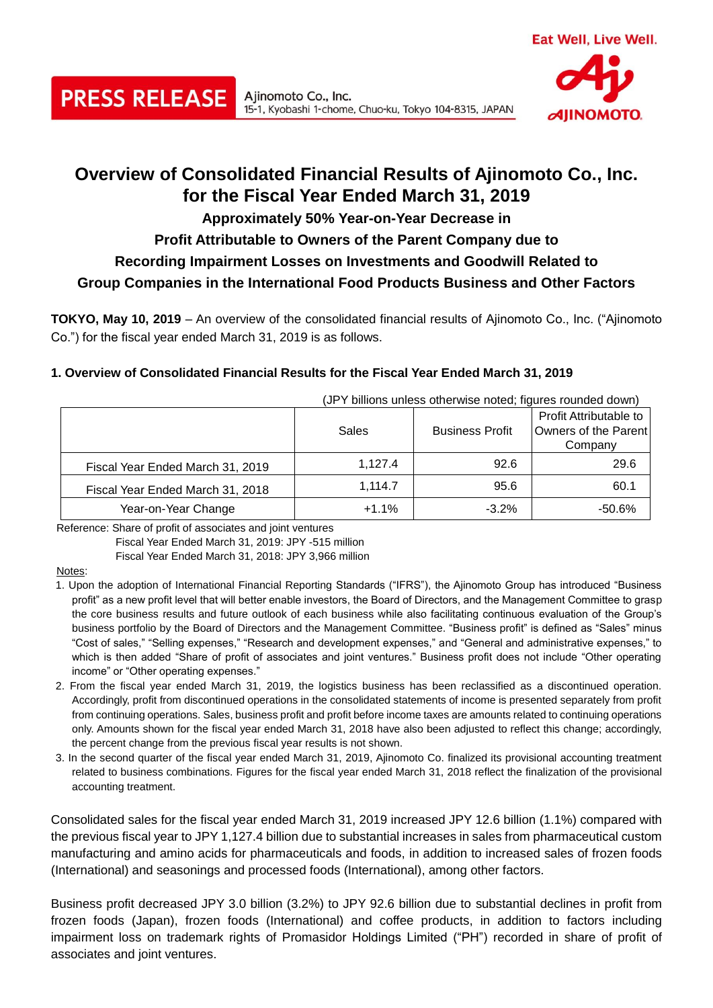

# **Overview of Consolidated Financial Results of Ajinomoto Co., Inc. for the Fiscal Year Ended March 31, 2019**

15-1, Kyobashi 1-chome, Chuo-ku, Tokyo 104-8315, JAPAN

## **Approximately 50% Year-on-Year Decrease in**

# **Profit Attributable to Owners of the Parent Company due to**

# **Recording Impairment Losses on Investments and Goodwill Related to**

# **Group Companies in the International Food Products Business and Other Factors**

**TOKYO, May 10, 2019** – An overview of the consolidated financial results of Ajinomoto Co., Inc. ("Ajinomoto Co.") for the fiscal year ended March 31, 2019 is as follows.

#### **1. Overview of Consolidated Financial Results for the Fiscal Year Ended March 31, 2019**

Ajinomoto Co., Inc.

|                                  | Sales   | <b>Business Profit</b> | Profit Attributable to<br>Owners of the Parent<br>Company |  |
|----------------------------------|---------|------------------------|-----------------------------------------------------------|--|
| Fiscal Year Ended March 31, 2019 | 1.127.4 | 92.6                   | 29.6                                                      |  |
| Fiscal Year Ended March 31, 2018 | 1.114.7 | 95.6                   | 60.1                                                      |  |
| Year-on-Year Change              | $+1.1%$ | $-3.2%$                | $-50.6%$                                                  |  |

(JPY billions unless otherwise noted; figures rounded down)

Reference: Share of profit of associates and joint ventures

**PRESS RELEASE** 

Fiscal Year Ended March 31, 2019: JPY -515 million

Fiscal Year Ended March 31, 2018: JPY 3,966 million

Notes:

- 1. Upon the adoption of International Financial Reporting Standards ("IFRS"), the Ajinomoto Group has introduced "Business profit" as a new profit level that will better enable investors, the Board of Directors, and the Management Committee to grasp the core business results and future outlook of each business while also facilitating continuous evaluation of the Group's business portfolio by the Board of Directors and the Management Committee. "Business profit" is defined as "Sales" minus "Cost of sales," "Selling expenses," "Research and development expenses," and "General and administrative expenses," to which is then added "Share of profit of associates and joint ventures." Business profit does not include "Other operating income" or "Other operating expenses."
- 2. From the fiscal year ended March 31, 2019, the logistics business has been reclassified as a discontinued operation. Accordingly, profit from discontinued operations in the consolidated statements of income is presented separately from profit from continuing operations. Sales, business profit and profit before income taxes are amounts related to continuing operations only. Amounts shown for the fiscal year ended March 31, 2018 have also been adjusted to reflect this change; accordingly, the percent change from the previous fiscal year results is not shown.
- 3. In the second quarter of the fiscal year ended March 31, 2019, Ajinomoto Co. finalized its provisional accounting treatment related to business combinations. Figures for the fiscal year ended March 31, 2018 reflect the finalization of the provisional accounting treatment.

Consolidated sales for the fiscal year ended March 31, 2019 increased JPY 12.6 billion (1.1%) compared with the previous fiscal year to JPY 1,127.4 billion due to substantial increases in sales from pharmaceutical custom manufacturing and amino acids for pharmaceuticals and foods, in addition to increased sales of frozen foods (International) and seasonings and processed foods (International), among other factors.

Business profit decreased JPY 3.0 billion (3.2%) to JPY 92.6 billion due to substantial declines in profit from frozen foods (Japan), frozen foods (International) and coffee products, in addition to factors including impairment loss on trademark rights of Promasidor Holdings Limited ("PH") recorded in share of profit of associates and joint ventures.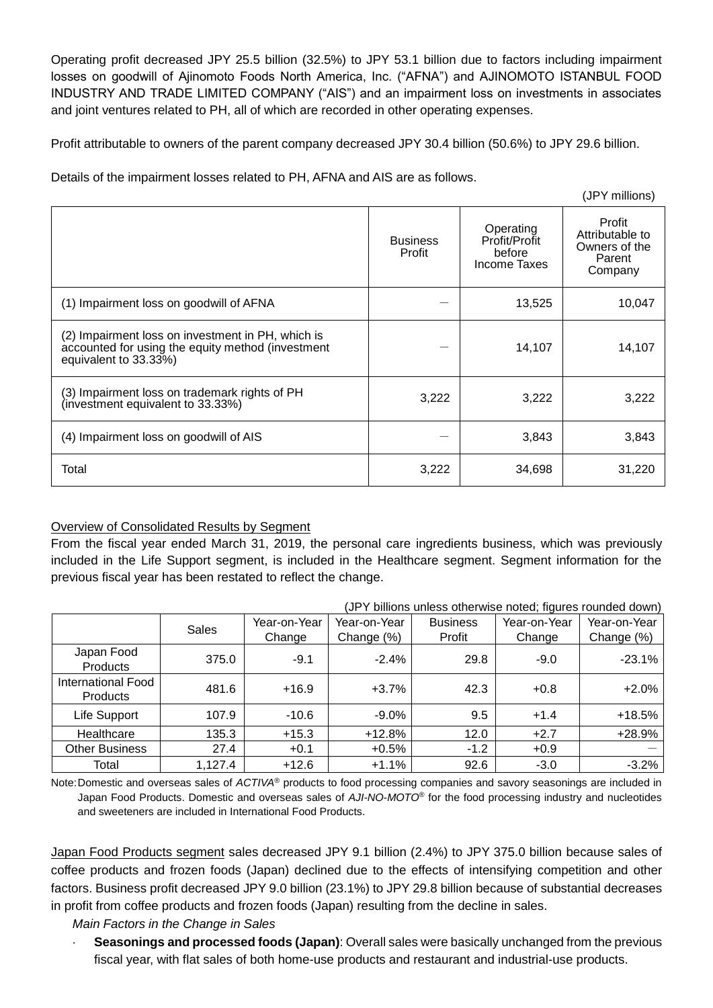Operating profit decreased JPY 25.5 billion (32.5%) to JPY 53.1 billion due to factors including impairment losses on goodwill of Ajinomoto Foods North America, Inc. ("AFNA") and AJINOMOTO ISTANBUL FOOD INDUSTRY AND TRADE LIMITED COMPANY ("AIS") and an impairment loss on investments in associates and joint ventures related to PH, all of which are recorded in other operating expenses.

Profit attributable to owners of the parent company decreased JPY 30.4 billion (50.6%) to JPY 29.6 billion.

Details of the impairment losses related to PH, AFNA and AIS are as follows.

|                                                                                                                                 | <b>Business</b><br>Profit | Operating<br>Profit/Profit<br>before<br>Income Taxes | Profit<br>Attributable to<br>Owners of the<br>Parent<br>Company |
|---------------------------------------------------------------------------------------------------------------------------------|---------------------------|------------------------------------------------------|-----------------------------------------------------------------|
| (1) Impairment loss on goodwill of AFNA                                                                                         |                           | 13,525                                               | 10,047                                                          |
| (2) Impairment loss on investment in PH, which is<br>accounted for using the equity method (investment<br>equivalent to 33.33%) |                           | 14,107                                               | 14,107                                                          |
| (3) Impairment loss on trademark rights of PH<br>(investment equivalent to 33.33%)                                              | 3,222                     | 3,222                                                | 3,222                                                           |
| (4) Impairment loss on goodwill of AIS                                                                                          |                           | 3,843                                                | 3,843                                                           |
| Total                                                                                                                           | 3,222                     | 34,698                                               | 31,220                                                          |

## Overview of Consolidated Results by Segment

From the fiscal year ended March 31, 2019, the personal care ingredients business, which was previously included in the Life Support segment, is included in the Healthcare segment. Segment information for the previous fiscal year has been restated to reflect the change.

|                                       | (JPY billions unless otherwise noted; figures rounded down) |              |              |                 |              |              |
|---------------------------------------|-------------------------------------------------------------|--------------|--------------|-----------------|--------------|--------------|
|                                       | Sales                                                       | Year-on-Year | Year-on-Year | <b>Business</b> | Year-on-Year | Year-on-Year |
|                                       |                                                             | Change       | Change (%)   | Profit          | Change       | Change (%)   |
| Japan Food<br><b>Products</b>         | 375.0                                                       | $-9.1$       | $-2.4%$      | 29.8            | $-9.0$       | $-23.1%$     |
| International Food<br><b>Products</b> | 481.6                                                       | $+16.9$      | $+3.7%$      | 42.3            | $+0.8$       | $+2.0%$      |
| Life Support                          | 107.9                                                       | $-10.6$      | $-9.0\%$     | 9.5             | $+1.4$       | $+18.5%$     |
| Healthcare                            | 135.3                                                       | $+15.3$      | $+12.8%$     | 12.0            | $+2.7$       | $+28.9%$     |
| <b>Other Business</b>                 | 27.4                                                        | $+0.1$       | $+0.5%$      | $-1.2$          | $+0.9$       |              |
| Total                                 | 1,127.4                                                     | $+12.6$      | $+1.1%$      | 92.6            | $-3.0$       | $-3.2%$      |

Note:Domestic and overseas sales of *ACTIVA*® products to food processing companies and savory seasonings are included in Japan Food Products. Domestic and overseas sales of *AJI-NO-MOTO*® for the food processing industry and nucleotides and sweeteners are included in International Food Products.

Japan Food Products segment sales decreased JPY 9.1 billion (2.4%) to JPY 375.0 billion because sales of coffee products and frozen foods (Japan) declined due to the effects of intensifying competition and other factors. Business profit decreased JPY 9.0 billion (23.1%) to JPY 29.8 billion because of substantial decreases in profit from coffee products and frozen foods (Japan) resulting from the decline in sales.

*Main Factors in the Change in Sales*

 **Seasonings and processed foods (Japan)**: Overall sales were basically unchanged from the previous fiscal year, with flat sales of both home-use products and restaurant and industrial-use products.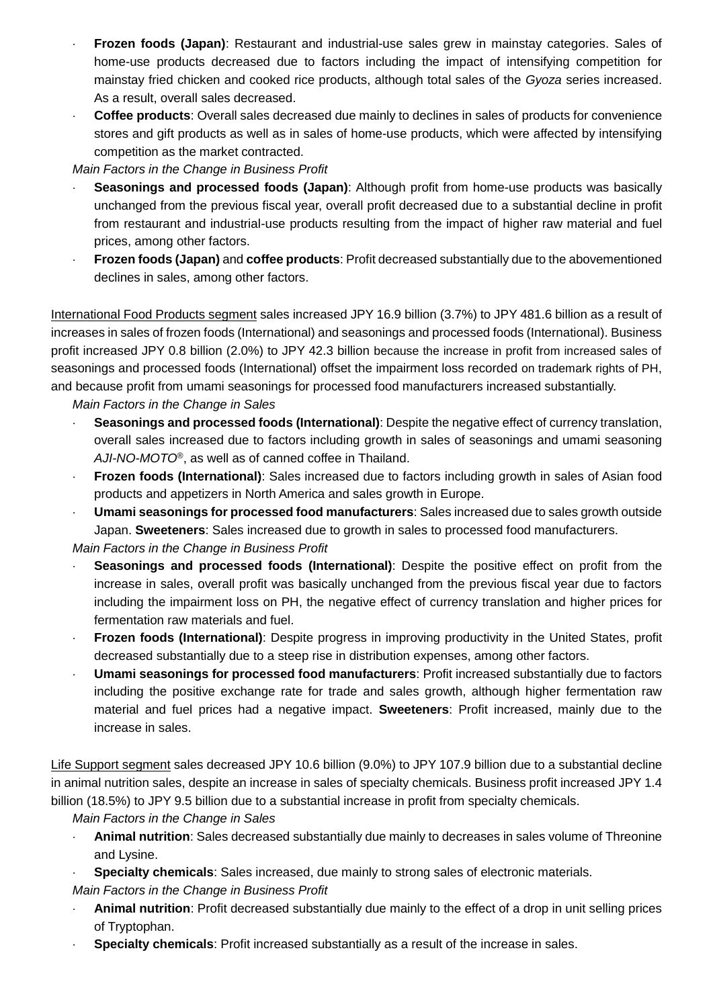- **Frozen foods (Japan)**: Restaurant and industrial-use sales grew in mainstay categories. Sales of home-use products decreased due to factors including the impact of intensifying competition for mainstay fried chicken and cooked rice products, although total sales of the *Gyoza* series increased. As a result, overall sales decreased.
- **Coffee products**: Overall sales decreased due mainly to declines in sales of products for convenience stores and gift products as well as in sales of home-use products, which were affected by intensifying competition as the market contracted.

## *Main Factors in the Change in Business Profit*

- **Seasonings and processed foods (Japan)**: Although profit from home-use products was basically unchanged from the previous fiscal year, overall profit decreased due to a substantial decline in profit from restaurant and industrial-use products resulting from the impact of higher raw material and fuel prices, among other factors.
- **Frozen foods (Japan)** and **coffee products**: Profit decreased substantially due to the abovementioned declines in sales, among other factors.

International Food Products segment sales increased JPY 16.9 billion (3.7%) to JPY 481.6 billion as a result of increases in sales of frozen foods (International) and seasonings and processed foods (International). Business profit increased JPY 0.8 billion (2.0%) to JPY 42.3 billion because the increase in profit from increased sales of seasonings and processed foods (International) offset the impairment loss recorded on trademark rights of PH, and because profit from umami seasonings for processed food manufacturers increased substantially.

#### *Main Factors in the Change in Sales*

- **Seasonings and processed foods (International)**: Despite the negative effect of currency translation, overall sales increased due to factors including growth in sales of seasonings and umami seasoning *AJI-NO-MOTO*®, as well as of canned coffee in Thailand.
- **Frozen foods (International)**: Sales increased due to factors including growth in sales of Asian food products and appetizers in North America and sales growth in Europe.
- **Umami seasonings for processed food manufacturers**: Sales increased due to sales growth outside Japan. **Sweeteners**: Sales increased due to growth in sales to processed food manufacturers.

#### *Main Factors in the Change in Business Profit*

- **Seasonings and processed foods (International)**: Despite the positive effect on profit from the increase in sales, overall profit was basically unchanged from the previous fiscal year due to factors including the impairment loss on PH, the negative effect of currency translation and higher prices for fermentation raw materials and fuel.
- **Frozen foods (International)**: Despite progress in improving productivity in the United States, profit decreased substantially due to a steep rise in distribution expenses, among other factors.
- **Umami seasonings for processed food manufacturers**: Profit increased substantially due to factors including the positive exchange rate for trade and sales growth, although higher fermentation raw material and fuel prices had a negative impact. **Sweeteners**: Profit increased, mainly due to the increase in sales.

Life Support segment sales decreased JPY 10.6 billion (9.0%) to JPY 107.9 billion due to a substantial decline in animal nutrition sales, despite an increase in sales of specialty chemicals. Business profit increased JPY 1.4 billion (18.5%) to JPY 9.5 billion due to a substantial increase in profit from specialty chemicals.

*Main Factors in the Change in Sales*

- **Animal nutrition**: Sales decreased substantially due mainly to decreases in sales volume of Threonine and Lysine.
- **Specialty chemicals**: Sales increased, due mainly to strong sales of electronic materials.

*Main Factors in the Change in Business Profit*

- **Animal nutrition**: Profit decreased substantially due mainly to the effect of a drop in unit selling prices of Tryptophan.
- **Specialty chemicals**: Profit increased substantially as a result of the increase in sales.